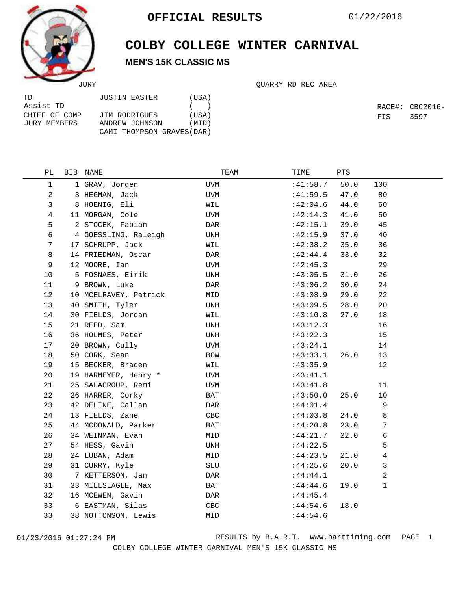

TD

## **COLBY COLLEGE WINTER CARNIVAL MEN'S 15K CLASSIC MS**

|               |       |  |  | OUARRY RD REC AREA |
|---------------|-------|--|--|--------------------|
| JUSTIN EASTER | (USA) |  |  |                    |

| Assist TD     |                            | (     |
|---------------|----------------------------|-------|
| CHIEF OF COMP | JIM RODRIGUES              | (USA) |
| JURY MEMBERS  | ANDREW JOHNSON             | (MID) |
|               | CAMI THOMPSON-GRAVES (DAR) |       |

RACE#: CBC2016- FIS 3597

| РL | BIB NAME              | TEAM       | TIME     | PTS  |                |  |
|----|-----------------------|------------|----------|------|----------------|--|
| 1  | 1 GRAV, Jorgen        | UVM        | :41:58.7 | 50.0 | 100            |  |
| 2  | 3 HEGMAN, Jack        | UVM        | :41:59.5 | 47.0 | 80             |  |
| 3  | 8 HOENIG, Eli         | WIL        | :42:04.6 | 44.0 | 60             |  |
| 4  | 11 MORGAN, Cole       | <b>UVM</b> | :42:14.3 | 41.0 | 50             |  |
| 5  | 2 STOCEK, Fabian      | DAR        | :42:15.1 | 39.0 | 45             |  |
| 6  | 4 GOESSLING, Raleigh  | UNH        | :42:15.9 | 37.0 | 40             |  |
| 7  | 17 SCHRUPP, Jack      | WIL        | :42:38.2 | 35.0 | 36             |  |
| 8  | 14 FRIEDMAN, Oscar    | DAR        | :42:44.4 | 33.0 | 32             |  |
| 9  | 12 MOORE, Ian         | UVM        | :42:45.3 |      | 29             |  |
| 10 | 5 FOSNAES, Eirik      | UNH        | :43:05.5 | 31.0 | 26             |  |
| 11 | 9 BROWN, Luke         | DAR        | :43:06.2 | 30.0 | 24             |  |
| 12 | 10 MCELRAVEY, Patrick | MID        | :43:08.9 | 29.0 | 22             |  |
| 13 | 40 SMITH, Tyler       | UNH        | :43:09.5 | 28.0 | 20             |  |
| 14 | 30 FIELDS, Jordan     | WIL        | :43:10.8 | 27.0 | $18\,$         |  |
| 15 | 21 REED, Sam          | UNH        | :43:12.3 |      | 16             |  |
| 16 | 36 HOLMES, Peter      | UNH        | :43:22.3 |      | 15             |  |
| 17 | 20 BROWN, Cully       | UVM        | :43:24.1 |      | 14             |  |
| 18 | 50 CORK, Sean         | <b>BOW</b> | :43:33.1 | 26.0 | 13             |  |
| 19 | 15 BECKER, Braden     | WIL        | :43:35.9 |      | 12             |  |
| 20 | 19 HARMEYER, Henry *  | UVM        | :43:41.1 |      |                |  |
| 21 | 25 SALACROUP, Remi    | UVM        | :43:41.8 |      | 11             |  |
| 22 | 26 HARRER, Corky      | BAT        | :43:50.0 | 25.0 | 10             |  |
| 23 | 42 DELINE, Callan     | DAR        | :44:01.4 |      | 9              |  |
| 24 | 13 FIELDS, Zane       | CBC        | :44:03.8 | 24.0 | 8              |  |
| 25 | 44 MCDONALD, Parker   | BAT        | :44:20.8 | 23.0 | 7              |  |
| 26 | 34 WEINMAN, Evan      | MID        | :44:21.7 | 22.0 | 6              |  |
| 27 | 54 HESS, Gavin        | UNH        | :44:22.5 |      | 5              |  |
| 28 | 24 LUBAN, Adam        | MID        | :44:23.5 | 21.0 | 4              |  |
| 29 | 31 CURRY, Kyle        | SLU        | :44:25.6 | 20.0 | $\mathbf{3}$   |  |
| 30 | 7 KETTERSON, Jan      | DAR        | :44:44.1 |      | $\overline{a}$ |  |
| 31 | 33 MILLSLAGLE, Max    | BAT        | :44:44.6 | 19.0 | $\mathbf{1}$   |  |
| 32 | 16 MCEWEN, Gavin      | DAR        | :44:45.4 |      |                |  |
| 33 | 6 EASTMAN, Silas      | CBC        | :44:54.6 | 18.0 |                |  |
| 33 | 38 NOTTONSON, Lewis   | MID        | :44:54.6 |      |                |  |
|    |                       |            |          |      |                |  |

01/23/2016 01:27:24 PM RESULTS by B.A.R.T. www.barttiming.com PAGE 1 COLBY COLLEGE WINTER CARNIVAL MEN'S 15K CLASSIC MS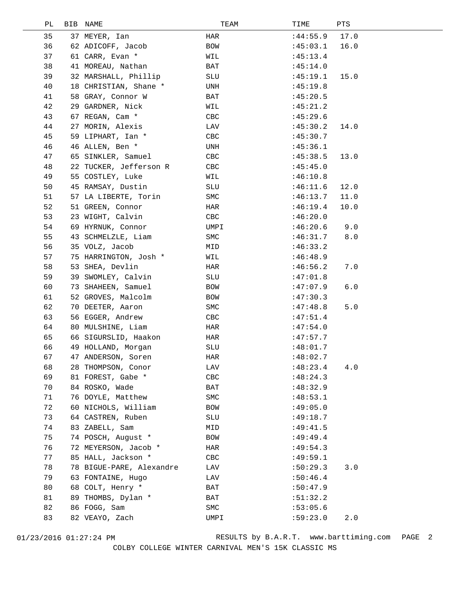| PЬ | <b>BIB</b> | NAME                     | TEAM         | TIME     | PTS  |  |
|----|------------|--------------------------|--------------|----------|------|--|
| 35 |            | 37 MEYER, Ian            | HAR          | :44:55.9 | 17.0 |  |
| 36 |            | 62 ADICOFF, Jacob        | BOW          | :45:03.1 | 16.0 |  |
| 37 |            | 61 CARR, Evan *          | WIL          | :45:13.4 |      |  |
| 38 |            | 41 MOREAU, Nathan        | BAT          | :45:14.0 |      |  |
| 39 |            | 32 MARSHALL, Phillip     | SLU          | :45:19.1 | 15.0 |  |
| 40 |            | 18 CHRISTIAN, Shane *    | UNH          | :45:19.8 |      |  |
| 41 |            | 58 GRAY, Connor W        | BAT          | :45:20.5 |      |  |
| 42 |            | 29 GARDNER, Nick         | WIL          | :45:21.2 |      |  |
| 43 |            | 67 REGAN, Cam *          | CBC          | :45:29.6 |      |  |
| 44 |            | 27 MORIN, Alexis         | LAV          | :45:30.2 | 14.0 |  |
| 45 |            | 59 LIPHART, Ian *        | CBC          | :45:30.7 |      |  |
| 46 |            | 46 ALLEN, Ben *          | UNH          | :45:36.1 |      |  |
| 47 |            | 65 SINKLER, Samuel       | CBC          | :45:38.5 | 13.0 |  |
| 48 |            | 22 TUCKER, Jefferson R   | CBC          | :45:45.0 |      |  |
| 49 |            | 55 COSTLEY, Luke         | WIL          | :46:10.8 |      |  |
| 50 |            | 45 RAMSAY, Dustin        | SLU          | :46:11.6 | 12.0 |  |
| 51 |            | 57 LA LIBERTE, Torin     | SMC          | :46:13.7 | 11.0 |  |
| 52 |            | 51 GREEN, Connor         | HAR          | :46:19.4 | 10.0 |  |
| 53 |            | 23 WIGHT, Calvin         | CBC          | :46:20.0 |      |  |
| 54 |            | 69 HYRNUK, Connor        | UMPI         | :46:20.6 | 9.0  |  |
| 55 |            | 43 SCHMELZLE, Liam       | SMC          | :46:31.7 | 8.0  |  |
| 56 |            | 35 VOLZ, Jacob           | MID          | :46:33.2 |      |  |
| 57 |            | 75 HARRINGTON, Josh *    | WIL          | :46:48.9 |      |  |
| 58 |            | 53 SHEA, Devlin          | HAR          | :46:56.2 | 7.0  |  |
| 59 |            | 39 SWOMLEY, Calvin       | SLU          | :47:01.8 |      |  |
| 60 |            | 73 SHAHEEN, Samuel       | BOW          | :47:07.9 | 6.0  |  |
| 61 |            | 52 GROVES, Malcolm       | BOW          | :47:30.3 |      |  |
| 62 |            | 70 DEETER, Aaron         | SMC          | :47:48.8 | 5.0  |  |
| 63 |            | 56 EGGER, Andrew         | CBC          | :47:51.4 |      |  |
| 64 |            | 80 MULSHINE, Liam        | HAR          | :47:54.0 |      |  |
| 65 |            | 66 SIGURSLID, Haakon     | HAR          | :47:57.7 |      |  |
| 66 |            | 49 HOLLAND, Morgan       | SLU          | :48:01.7 |      |  |
| 67 |            | 47 ANDERSON, Soren       | $_{\rm HAR}$ | :48:02.7 |      |  |
| 68 |            | 28 THOMPSON, Conor       | LAV          | :48:23.4 | 4.0  |  |
| 69 |            | 81 FOREST, Gabe *        | CBC          | :48:24.3 |      |  |
| 70 |            | 84 ROSKO, Wade           | BAT          | :48:32.9 |      |  |
| 71 |            | 76 DOYLE, Matthew        | SMC          | :48:53.1 |      |  |
| 72 |            | 60 NICHOLS, William      | BOW          | :49:05.0 |      |  |
| 73 |            | 64 CASTREN, Ruben        | SLU          | :49:18.7 |      |  |
| 74 |            | 83 ZABELL, Sam           | MID          | :49:41.5 |      |  |
| 75 |            | 74 POSCH, August *       | BOW          | :49:49.4 |      |  |
| 76 |            | 72 MEYERSON, Jacob *     | HAR          | :49:54.3 |      |  |
| 77 |            | 85 HALL, Jackson *       | CBC          | :49:59.1 |      |  |
| 78 |            | 78 BIGUE-PARE, Alexandre | LAV          | :50:29.3 | 3.0  |  |
| 79 |            | 63 FONTAINE, Hugo        | LAV          | :50:46.4 |      |  |
| 80 |            | 68 COLT, Henry *         | BAT          | :50:47.9 |      |  |
| 81 |            | 89 THOMBS, Dylan *       | BAT          | :51:32.2 |      |  |
| 82 |            | 86 FOGG, Sam             | SMC          | :53:05.6 |      |  |
| 83 |            | 82 VEAYO, Zach           | UMPI         | :59:23.0 | 2.0  |  |
|    |            |                          |              |          |      |  |

01/23/2016 01:27:24 PM RESULTS by B.A.R.T. www.barttiming.com PAGE 2 COLBY COLLEGE WINTER CARNIVAL MEN'S 15K CLASSIC MS